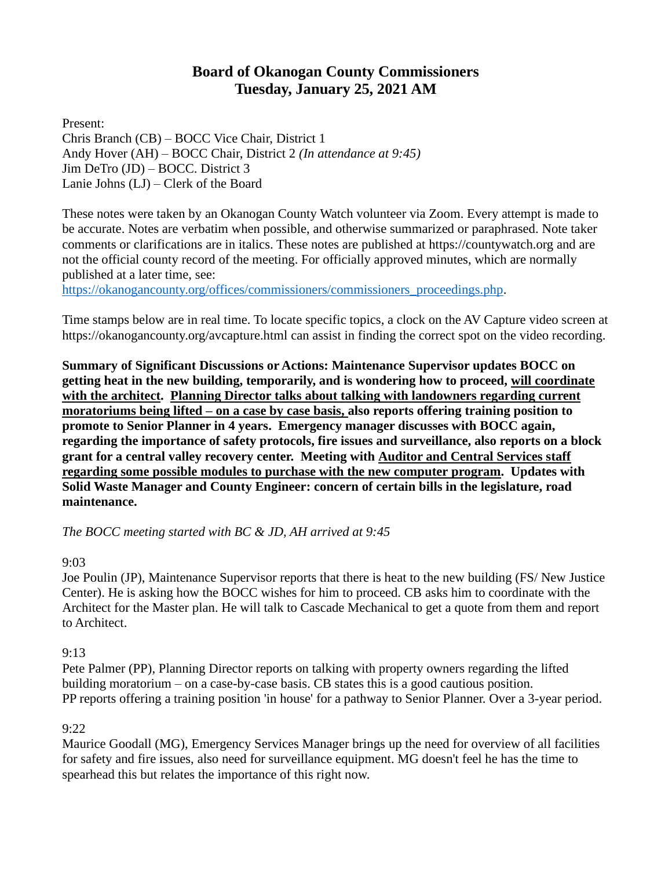# **Board of Okanogan County Commissioners Tuesday, January 25, 2021 AM**

Present: Chris Branch (CB) – BOCC Vice Chair, District 1 Andy Hover (AH) – BOCC Chair, District 2 *(In attendance at 9:45)* Jim DeTro (JD) – BOCC. District 3 Lanie Johns (LJ) – Clerk of the Board

These notes were taken by an Okanogan County Watch volunteer via Zoom. Every attempt is made to be accurate. Notes are verbatim when possible, and otherwise summarized or paraphrased. Note taker comments or clarifications are in italics. These notes are published at [https://countywatch.org](https://countywatch.org/) and are not the official county record of the meeting. For officially approved minutes, which are normally published at a later time, see:

[https://okanogancounty.org/offices/commissioners/commissioners\\_proceedings.php.](https://okanogancounty.org/offices/commissioners/commissioners_proceedings.php)

Time stamps below are in real time. To locate specific topics, a clock on the AV Capture video screen at <https://okanogancounty.org/avcapture.html> can assist in finding the correct spot on the video recording.

**Summary of Significant Discussions or Actions: Maintenance Supervisor updates BOCC on getting heat in the new building, temporarily, and is wondering how to proceed, will coordinate with the architect. Planning Director talks about talking with landowners regarding current moratoriums being lifted – on a case by case basis, also reports offering training position to promote to Senior Planner in 4 years. Emergency manager discusses with BOCC again, regarding the importance of safety protocols, fire issues and surveillance, also reports on a block grant for a central valley recovery center. Meeting with Auditor and Central Services staff regarding some possible modules to purchase with the new computer program. Updates with Solid Waste Manager and County Engineer: concern of certain bills in the legislature, road maintenance.**

*The BOCC meeting started with BC & JD, AH arrived at 9:45*

#### 9:03

Joe Poulin (JP), Maintenance Supervisor reports that there is heat to the new building (FS/ New Justice Center). He is asking how the BOCC wishes for him to proceed. CB asks him to coordinate with the Architect for the Master plan. He will talk to Cascade Mechanical to get a quote from them and report to Architect.

#### 9:13

Pete Palmer (PP), Planning Director reports on talking with property owners regarding the lifted building moratorium – on a case-by-case basis. CB states this is a good cautious position. PP reports offering a training position 'in house' for a pathway to Senior Planner. Over a 3-year period.

#### 9:22

Maurice Goodall (MG), Emergency Services Manager brings up the need for overview of all facilities for safety and fire issues, also need for surveillance equipment. MG doesn't feel he has the time to spearhead this but relates the importance of this right now.